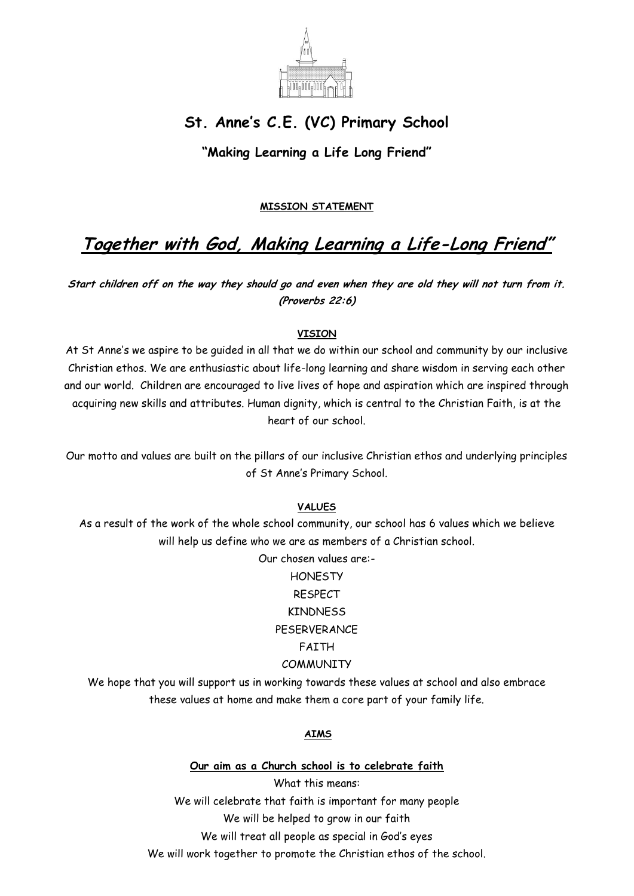

## **St. Anne's C.E. (VC) Primary School**

**"Making Learning a Life Long Friend"**

#### **MISSION STATEMENT**

# **Together with God, Making Learning a Life-Long Friend"**

**Start children off on the way they should go and even when they are old they will not turn from it. (Proverbs 22:6)**

#### **VISION**

At St Anne's we aspire to be guided in all that we do within our school and community by our inclusive Christian ethos. We are enthusiastic about life-long learning and share wisdom in serving each other and our world. Children are encouraged to live lives of hope and aspiration which are inspired through acquiring new skills and attributes. Human dignity, which is central to the Christian Faith, is at the heart of our school.

Our motto and values are built on the pillars of our inclusive Christian ethos and underlying principles of St Anne's Primary School.

#### **VALUES**

As a result of the work of the whole school community, our school has 6 values which we believe will help us define who we are as members of a Christian school.

Our chosen values are:-

### **HONESTY** RESPECT KINDNESS PESERVERANCE FAITH **COMMUNITY**

We hope that you will support us in working towards these values at school and also embrace these values at home and make them a core part of your family life.

#### **AIMS**

**Our aim as a Church school is to celebrate faith** What this means: We will celebrate that faith is important for many people We will be helped to grow in our faith We will treat all people as special in God's eyes We will work together to promote the Christian ethos of the school.